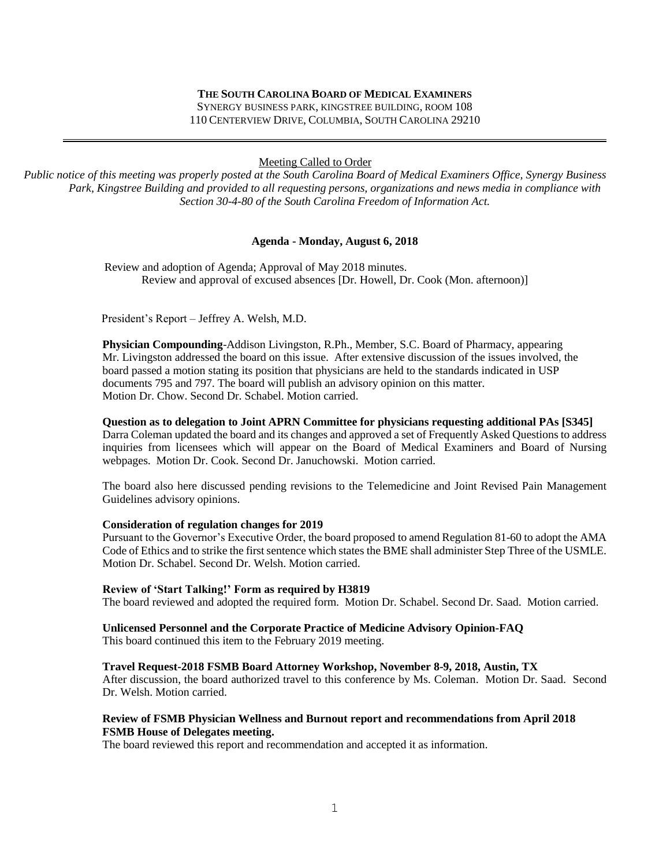#### **THE SOUTH CAROLINA BOARD OF MEDICAL EXAMINERS**

SYNERGY BUSINESS PARK, KINGSTREE BUILDING, ROOM 108 110 CENTERVIEW DRIVE, COLUMBIA, SOUTH CAROLINA 29210

Meeting Called to Order

*Public notice of this meeting was properly posted at the South Carolina Board of Medical Examiners Office, Synergy Business Park, Kingstree Building and provided to all requesting persons, organizations and news media in compliance with Section 30-4-80 of the South Carolina Freedom of Information Act.*

#### **Agenda - Monday, August 6, 2018**

 Review and adoption of Agenda; Approval of May 2018 minutes. Review and approval of excused absences [Dr. Howell, Dr. Cook (Mon. afternoon)]

President's Report – Jeffrey A. Welsh, M.D.

**Physician Compounding**-Addison Livingston, R.Ph., Member, S.C. Board of Pharmacy, appearing Mr. Livingston addressed the board on this issue. After extensive discussion of the issues involved, the board passed a motion stating its position that physicians are held to the standards indicated in USP documents 795 and 797. The board will publish an advisory opinion on this matter. Motion Dr. Chow. Second Dr. Schabel. Motion carried.

#### **Question as to delegation to Joint APRN Committee for physicians requesting additional PAs [S345]**

Darra Coleman updated the board and its changes and approved a set of Frequently Asked Questions to address inquiries from licensees which will appear on the Board of Medical Examiners and Board of Nursing webpages. Motion Dr. Cook. Second Dr. Januchowski. Motion carried.

The board also here discussed pending revisions to the Telemedicine and Joint Revised Pain Management Guidelines advisory opinions.

#### **Consideration of regulation changes for 2019**

Pursuant to the Governor's Executive Order, the board proposed to amend Regulation 81-60 to adopt the AMA Code of Ethics and to strike the first sentence which states the BME shall administer Step Three of the USMLE. Motion Dr. Schabel. Second Dr. Welsh. Motion carried.

#### **Review of 'Start Talking!' Form as required by H3819**

The board reviewed and adopted the required form. Motion Dr. Schabel. Second Dr. Saad. Motion carried.

**Unlicensed Personnel and the Corporate Practice of Medicine Advisory Opinion-FAQ**

This board continued this item to the February 2019 meeting.

#### **Travel Request-2018 FSMB Board Attorney Workshop, November 8-9, 2018, Austin, TX**

After discussion, the board authorized travel to this conference by Ms. Coleman. Motion Dr. Saad. Second Dr. Welsh. Motion carried.

#### **Review of FSMB Physician Wellness and Burnout report and recommendations from April 2018 FSMB House of Delegates meeting.**

The board reviewed this report and recommendation and accepted it as information.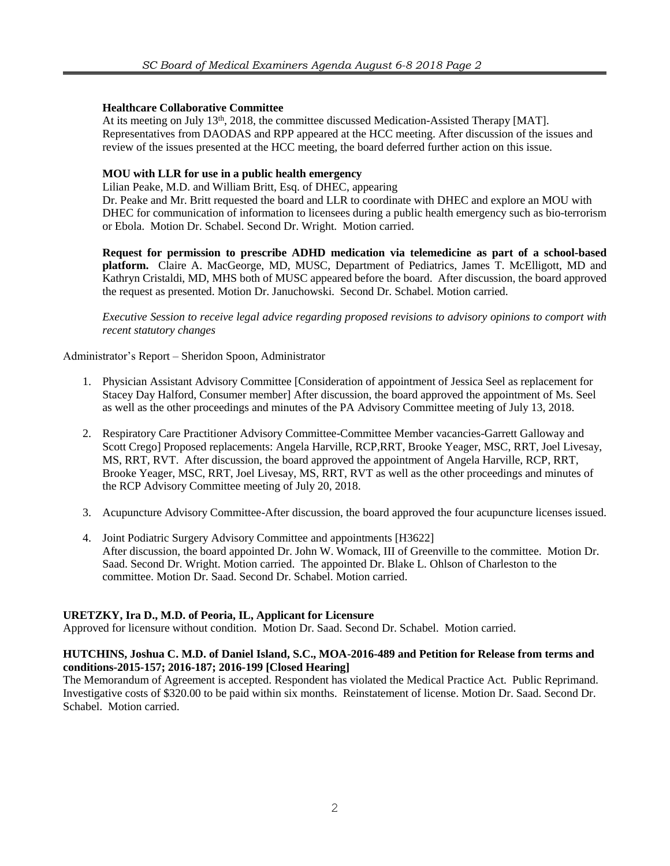# **Healthcare Collaborative Committee**

At its meeting on July 13<sup>th</sup>, 2018, the committee discussed Medication-Assisted Therapy [MAT]. Representatives from DAODAS and RPP appeared at the HCC meeting. After discussion of the issues and review of the issues presented at the HCC meeting, the board deferred further action on this issue.

## **MOU with LLR for use in a public health emergency**

Lilian Peake, M.D. and William Britt, Esq. of DHEC, appearing

Dr. Peake and Mr. Britt requested the board and LLR to coordinate with DHEC and explore an MOU with DHEC for communication of information to licensees during a public health emergency such as bio-terrorism or Ebola. Motion Dr. Schabel. Second Dr. Wright. Motion carried.

**Request for permission to prescribe ADHD medication via telemedicine as part of a school-based platform.** Claire A. MacGeorge, MD, MUSC, Department of Pediatrics, James T. McElligott, MD and Kathryn Cristaldi, MD, MHS both of MUSC appeared before the board. After discussion, the board approved the request as presented. Motion Dr. Januchowski. Second Dr. Schabel. Motion carried.

*Executive Session to receive legal advice regarding proposed revisions to advisory opinions to comport with recent statutory changes*

### Administrator's Report – Sheridon Spoon, Administrator

- 1. Physician Assistant Advisory Committee [Consideration of appointment of Jessica Seel as replacement for Stacey Day Halford, Consumer member] After discussion, the board approved the appointment of Ms. Seel as well as the other proceedings and minutes of the PA Advisory Committee meeting of July 13, 2018.
- 2. Respiratory Care Practitioner Advisory Committee-Committee Member vacancies-Garrett Galloway and Scott Crego] Proposed replacements: Angela Harville, RCP,RRT, Brooke Yeager, MSC, RRT, Joel Livesay, MS, RRT, RVT. After discussion, the board approved the appointment of Angela Harville, RCP, RRT, Brooke Yeager, MSC, RRT, Joel Livesay, MS, RRT, RVT as well as the other proceedings and minutes of the RCP Advisory Committee meeting of July 20, 2018.
- 3. Acupuncture Advisory Committee-After discussion, the board approved the four acupuncture licenses issued.
- 4. Joint Podiatric Surgery Advisory Committee and appointments [H3622] After discussion, the board appointed Dr. John W. Womack, III of Greenville to the committee. Motion Dr. Saad. Second Dr. Wright. Motion carried. The appointed Dr. Blake L. Ohlson of Charleston to the committee. Motion Dr. Saad. Second Dr. Schabel. Motion carried.

### **URETZKY, Ira D., M.D. of Peoria, IL, Applicant for Licensure**

Approved for licensure without condition. Motion Dr. Saad. Second Dr. Schabel. Motion carried.

### **HUTCHINS, Joshua C. M.D. of Daniel Island, S.C., MOA-2016-489 and Petition for Release from terms and conditions-2015-157; 2016-187; 2016-199 [Closed Hearing]**

The Memorandum of Agreement is accepted. Respondent has violated the Medical Practice Act. Public Reprimand. Investigative costs of \$320.00 to be paid within six months. Reinstatement of license. Motion Dr. Saad. Second Dr. Schabel. Motion carried.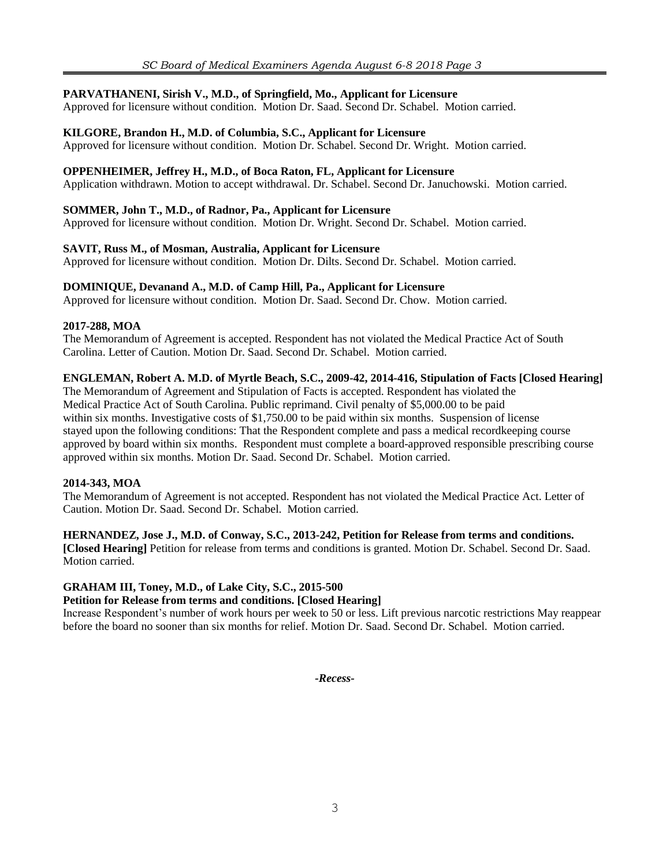# **PARVATHANENI, Sirish V., M.D., of Springfield, Mo., Applicant for Licensure**

Approved for licensure without condition. Motion Dr. Saad. Second Dr. Schabel. Motion carried.

# **KILGORE, Brandon H., M.D. of Columbia, S.C., Applicant for Licensure**

Approved for licensure without condition. Motion Dr. Schabel. Second Dr. Wright. Motion carried.

# **OPPENHEIMER, Jeffrey H., M.D., of Boca Raton, FL, Applicant for Licensure**

Application withdrawn. Motion to accept withdrawal. Dr. Schabel. Second Dr. Januchowski. Motion carried.

## **SOMMER, John T., M.D., of Radnor, Pa., Applicant for Licensure**

Approved for licensure without condition. Motion Dr. Wright. Second Dr. Schabel. Motion carried.

### **SAVIT, Russ M., of Mosman, Australia, Applicant for Licensure**

Approved for licensure without condition. Motion Dr. Dilts. Second Dr. Schabel. Motion carried.

### **DOMINIQUE, Devanand A., M.D. of Camp Hill, Pa., Applicant for Licensure**

Approved for licensure without condition. Motion Dr. Saad. Second Dr. Chow. Motion carried.

### **2017-288, MOA**

The Memorandum of Agreement is accepted. Respondent has not violated the Medical Practice Act of South Carolina. Letter of Caution. Motion Dr. Saad. Second Dr. Schabel. Motion carried.

# **ENGLEMAN, Robert A. M.D. of Myrtle Beach, S.C., 2009-42, 2014-416, Stipulation of Facts [Closed Hearing]**

The Memorandum of Agreement and Stipulation of Facts is accepted. Respondent has violated the Medical Practice Act of South Carolina. Public reprimand. Civil penalty of \$5,000.00 to be paid within six months. Investigative costs of \$1,750.00 to be paid within six months. Suspension of license stayed upon the following conditions: That the Respondent complete and pass a medical recordkeeping course approved by board within six months. Respondent must complete a board-approved responsible prescribing course approved within six months. Motion Dr. Saad. Second Dr. Schabel. Motion carried.

# **2014-343, MOA**

The Memorandum of Agreement is not accepted. Respondent has not violated the Medical Practice Act. Letter of Caution. Motion Dr. Saad. Second Dr. Schabel. Motion carried.

### **HERNANDEZ, Jose J., M.D. of Conway, S.C., 2013-242, Petition for Release from terms and conditions.**

**[Closed Hearing]** Petition for release from terms and conditions is granted. Motion Dr. Schabel. Second Dr. Saad. Motion carried.

# **GRAHAM III, Toney, M.D., of Lake City, S.C., 2015-500**

### **Petition for Release from terms and conditions. [Closed Hearing]**

Increase Respondent's number of work hours per week to 50 or less. Lift previous narcotic restrictions May reappear before the board no sooner than six months for relief. Motion Dr. Saad. Second Dr. Schabel. Motion carried.

*-Recess-*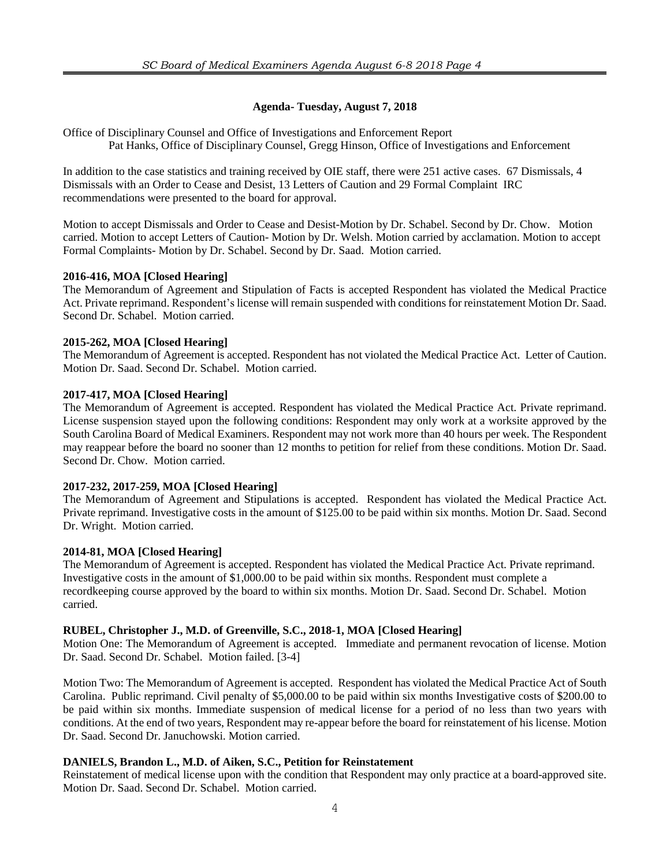# **Agenda- Tuesday, August 7, 2018**

Office of Disciplinary Counsel and Office of Investigations and Enforcement Report Pat Hanks, Office of Disciplinary Counsel, Gregg Hinson, Office of Investigations and Enforcement

In addition to the case statistics and training received by OIE staff, there were 251 active cases. 67 Dismissals, 4 Dismissals with an Order to Cease and Desist, 13 Letters of Caution and 29 Formal Complaint IRC recommendations were presented to the board for approval.

Motion to accept Dismissals and Order to Cease and Desist-Motion by Dr. Schabel. Second by Dr. Chow. Motion carried. Motion to accept Letters of Caution- Motion by Dr. Welsh. Motion carried by acclamation. Motion to accept Formal Complaints- Motion by Dr. Schabel. Second by Dr. Saad. Motion carried.

# **2016-416, MOA [Closed Hearing]**

The Memorandum of Agreement and Stipulation of Facts is accepted Respondent has violated the Medical Practice Act. Private reprimand. Respondent's license will remain suspended with conditions for reinstatement Motion Dr. Saad. Second Dr. Schabel. Motion carried.

# **2015-262, MOA [Closed Hearing]**

The Memorandum of Agreement is accepted. Respondent has not violated the Medical Practice Act. Letter of Caution. Motion Dr. Saad. Second Dr. Schabel. Motion carried.

# **2017-417, MOA [Closed Hearing]**

The Memorandum of Agreement is accepted. Respondent has violated the Medical Practice Act. Private reprimand. License suspension stayed upon the following conditions: Respondent may only work at a worksite approved by the South Carolina Board of Medical Examiners. Respondent may not work more than 40 hours per week. The Respondent may reappear before the board no sooner than 12 months to petition for relief from these conditions. Motion Dr. Saad. Second Dr. Chow. Motion carried.

# **2017-232, 2017-259, MOA [Closed Hearing]**

The Memorandum of Agreement and Stipulations is accepted. Respondent has violated the Medical Practice Act. Private reprimand. Investigative costs in the amount of \$125.00 to be paid within six months. Motion Dr. Saad. Second Dr. Wright. Motion carried.

# **2014-81, MOA [Closed Hearing]**

The Memorandum of Agreement is accepted. Respondent has violated the Medical Practice Act. Private reprimand. Investigative costs in the amount of \$1,000.00 to be paid within six months. Respondent must complete a recordkeeping course approved by the board to within six months. Motion Dr. Saad. Second Dr. Schabel. Motion carried.

# **RUBEL, Christopher J., M.D. of Greenville, S.C., 2018-1, MOA [Closed Hearing]**

Motion One: The Memorandum of Agreement is accepted. Immediate and permanent revocation of license. Motion Dr. Saad. Second Dr. Schabel. Motion failed. [3-4]

Motion Two: The Memorandum of Agreement is accepted. Respondent has violated the Medical Practice Act of South Carolina. Public reprimand. Civil penalty of \$5,000.00 to be paid within six months Investigative costs of \$200.00 to be paid within six months. Immediate suspension of medical license for a period of no less than two years with conditions. At the end of two years, Respondent may re-appear before the board for reinstatement of his license. Motion Dr. Saad. Second Dr. Januchowski. Motion carried.

# **DANIELS, Brandon L., M.D. of Aiken, S.C., Petition for Reinstatement**

Reinstatement of medical license upon with the condition that Respondent may only practice at a board-approved site. Motion Dr. Saad. Second Dr. Schabel. Motion carried.